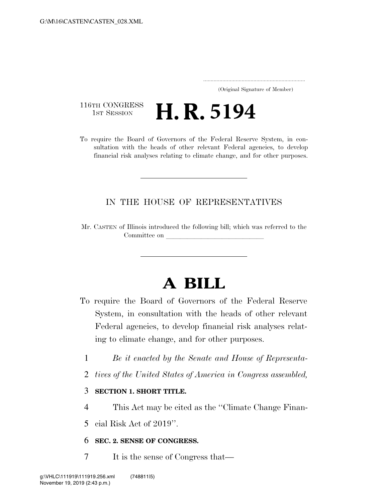..................................................................... (Original Signature of Member)

116TH CONGRESS<br>1st Session **H. R. 5194** 

To require the Board of Governors of the Federal Reserve System, in consultation with the heads of other relevant Federal agencies, to develop financial risk analyses relating to climate change, and for other purposes.

## IN THE HOUSE OF REPRESENTATIVES

Mr. CASTEN of Illinois introduced the following bill; which was referred to the Committee on

# **A BILL**

- To require the Board of Governors of the Federal Reserve System, in consultation with the heads of other relevant Federal agencies, to develop financial risk analyses relating to climate change, and for other purposes.
	- 1 *Be it enacted by the Senate and House of Representa-*
	- 2 *tives of the United States of America in Congress assembled,*

## 3 **SECTION 1. SHORT TITLE.**

4 This Act may be cited as the ''Climate Change Finan-

5 cial Risk Act of 2019''.

#### 6 **SEC. 2. SENSE OF CONGRESS.**

7 It is the sense of Congress that—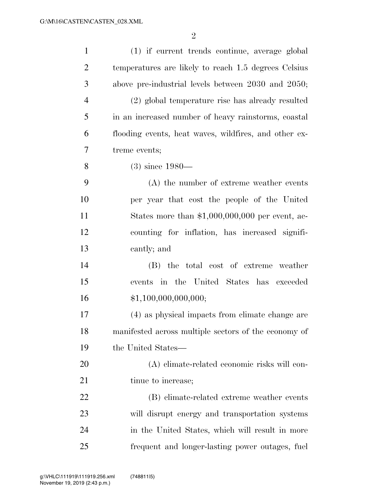| $\mathbf{1}$   | (1) if current trends continue, average global        |
|----------------|-------------------------------------------------------|
| $\overline{2}$ | temperatures are likely to reach 1.5 degrees Celsius  |
| 3              | above pre-industrial levels between 2030 and 2050;    |
| $\overline{4}$ | (2) global temperature rise has already resulted      |
| 5              | in an increased number of heavy rainstorms, coastal   |
| 6              | flooding events, heat waves, wildfires, and other ex- |
| 7              | treme events;                                         |
| 8              | $(3)$ since 1980—                                     |
| 9              | (A) the number of extreme weather events              |
| 10             | per year that cost the people of the United           |
| 11             | States more than $$1,000,000,000$ per event, ac-      |
| 12             | counting for inflation, has increased signifi-        |
| 13             | cantly; and                                           |
| 14             | (B) the total cost of extreme weather                 |
| 15             | events in the United States has exceeded              |
| 16             | \$1,100,000,000,000;                                  |
| 17             | (4) as physical impacts from climate change are       |
| 18             | manifested across multiple sectors of the economy of  |
| 19             | the United States—                                    |
| 20             | (A) climate-related economic risks will con-          |
| 21             | tinue to increase;                                    |
| 22             | (B) climate-related extreme weather events            |
| 23             | will disrupt energy and transportation systems        |
| 24             | in the United States, which will result in more       |
| 25             | frequent and longer-lasting power outages, fuel       |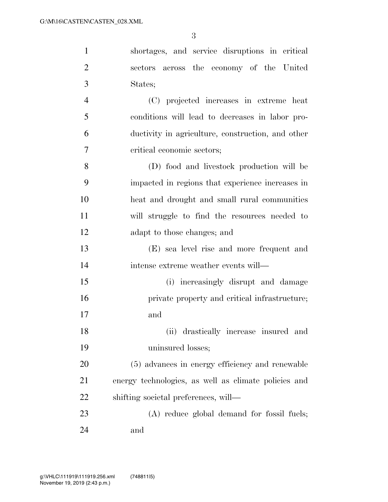| $\mathbf{1}$   | shortages, and service disruptions in critical       |
|----------------|------------------------------------------------------|
| $\overline{2}$ | sectors across the economy of the United             |
| 3              | States;                                              |
| $\overline{4}$ | (C) projected increases in extreme heat              |
| 5              | conditions will lead to decreases in labor pro-      |
| 6              | ductivity in agriculture, construction, and other    |
| 7              | critical economic sectors;                           |
| 8              | (D) food and livestock production will be            |
| 9              | impacted in regions that experience increases in     |
| 10             | heat and drought and small rural communities         |
| 11             | will struggle to find the resources needed to        |
| 12             | adapt to those changes; and                          |
| 13             | (E) sea level rise and more frequent and             |
| 14             | intense extreme weather events will—                 |
| 15             | (i) increasingly disrupt and damage                  |
| 16             | private property and critical infrastructure;        |
| 17             | and                                                  |
| 18             | (ii) drastically increase insured and                |
| 19             | uninsured losses;                                    |
| 20             | (5) advances in energy efficiency and renewable      |
| 21             | energy technologies, as well as climate policies and |
| 22             | shifting societal preferences, will—                 |
| 23             | (A) reduce global demand for fossil fuels;           |
| 24             | and                                                  |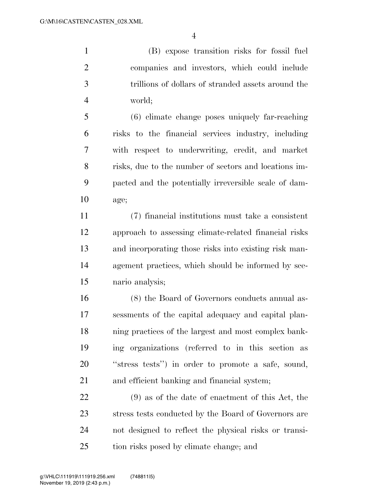(B) expose transition risks for fossil fuel companies and investors, which could include trillions of dollars of stranded assets around the world;

 (6) climate change poses uniquely far-reaching risks to the financial services industry, including with respect to underwriting, credit, and market risks, due to the number of sectors and locations im- pacted and the potentially irreversible scale of dam-age;

 (7) financial institutions must take a consistent approach to assessing climate-related financial risks and incorporating those risks into existing risk man- agement practices, which should be informed by sce-nario analysis;

 (8) the Board of Governors conducts annual as- sessments of the capital adequacy and capital plan- ning practices of the largest and most complex bank- ing organizations (referred to in this section as ''stress tests'') in order to promote a safe, sound, and efficient banking and financial system;

 (9) as of the date of enactment of this Act, the stress tests conducted by the Board of Governors are not designed to reflect the physical risks or transi-tion risks posed by climate change; and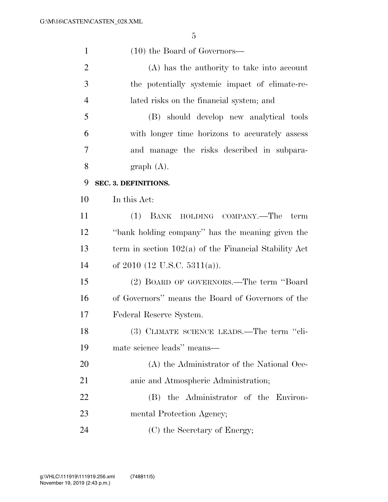| $\mathbf{1}$   | $(10)$ the Board of Governors—                          |
|----------------|---------------------------------------------------------|
| $\overline{2}$ | (A) has the authority to take into account              |
| 3              | the potentially systemic impact of climate-re-          |
| $\overline{4}$ | lated risks on the financial system; and                |
| 5              | (B) should develop new analytical tools                 |
| 6              | with longer time horizons to accurately assess          |
| 7              | and manage the risks described in subpara-              |
| 8              | graph(A).                                               |
| 9              | SEC. 3. DEFINITIONS.                                    |
| 10             | In this Act:                                            |
| 11             | BANK HOLDING COMPANY.—The<br>(1)<br>term                |
| 12             | "bank holding company" has the meaning given the        |
| 13             | term in section $102(a)$ of the Financial Stability Act |
| 14             | of $2010$ (12 U.S.C. 5311(a)).                          |
| 15             | (2) BOARD OF GOVERNORS.—The term "Board"                |
| 16             | of Governors" means the Board of Governors of the       |
| 17             | Federal Reserve System.                                 |
| 18             | (3) CLIMATE SCIENCE LEADS.—The term "cli-               |
| 19             | mate science leads" means-                              |
| 20             | (A) the Administrator of the National Oce-              |
| 21             | anic and Atmospheric Administration;                    |
| 22             | the Administrator of the Environ-<br>(B)                |
| 23             | mental Protection Agency;                               |
| 24             | (C) the Secretary of Energy;                            |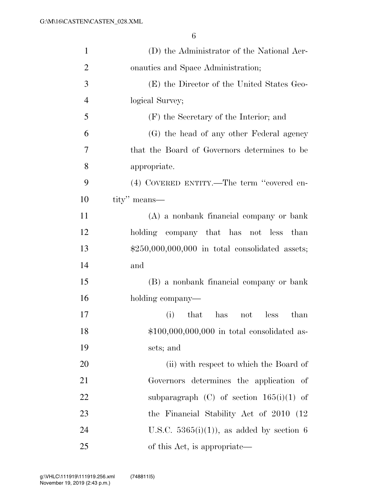| $\mathbf{1}$   | (D) the Administrator of the National Aer-       |
|----------------|--------------------------------------------------|
| $\overline{2}$ | onautics and Space Administration;               |
| 3              | (E) the Director of the United States Geo-       |
| $\overline{4}$ | logical Survey;                                  |
| 5              | (F) the Secretary of the Interior; and           |
| 6              | (G) the head of any other Federal agency         |
| $\overline{7}$ | that the Board of Governors determines to be     |
| 8              | appropriate.                                     |
| 9              | (4) COVERED ENTITY.—The term "covered en-        |
| 10             | tity" means—                                     |
| 11             | (A) a nonbank financial company or bank          |
| 12             | holding company that has not less than           |
| 13             | $$250,000,000,000$ in total consolidated assets; |
| 14             | and                                              |
| 15             | (B) a nonbank financial company or bank          |
| 16             | holding company—                                 |
| 17             | (i)<br>that<br>has<br>less<br>than<br>not        |
| 18             | $$100,000,000,000$ in total consolidated as-     |
| 19             | sets; and                                        |
| 20             | (ii) with respect to which the Board of          |
| 21             | Governors determines the application of          |
| 22             | subparagraph $(C)$ of section $165(i)(1)$ of     |
| 23             | the Financial Stability Act of 2010 (12)         |
| 24             | U.S.C. $5365(i)(1)$ , as added by section 6      |
| 25             | of this Act, is appropriate—                     |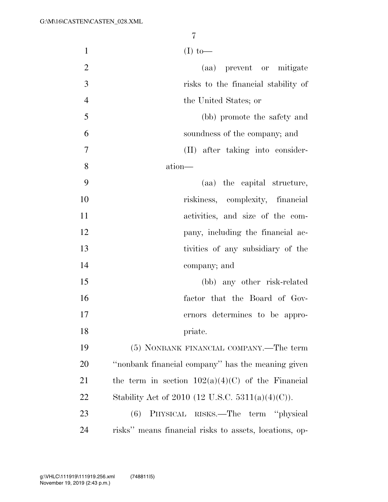| $\mathbf{1}$   | $(I)$ to-                                              |
|----------------|--------------------------------------------------------|
| $\mathbf{2}$   | (aa) prevent or mitigate                               |
| 3              | risks to the financial stability of                    |
| $\overline{4}$ | the United States; or                                  |
| 5              | (bb) promote the safety and                            |
| 6              | soundness of the company; and                          |
| 7              | (II) after taking into consider-                       |
| 8              | ation-                                                 |
| 9              | (aa) the capital structure,                            |
| 10             | riskiness, complexity, financial                       |
| 11             | activities, and size of the com-                       |
| 12             | pany, including the financial ac-                      |
| 13             | tivities of any subsidiary of the                      |
| 14             | company; and                                           |
| 15             | (bb) any other risk-related                            |
| 16             | factor that the Board of Gov-                          |
| 17             | ernors determines to be appro-                         |
| 18             | priate.                                                |
| 19             | (5) NONBANK FINANCIAL COMPANY.—The term                |
| 20             | "nonbank financial company" has the meaning given      |
| 21             | the term in section $102(a)(4)(C)$ of the Financial    |
| 22             | Stability Act of 2010 (12 U.S.C. 5311(a)(4)(C)).       |
| 23             | PHYSICAL RISKS.—The term "physical<br>(6)              |
| 24             | risks" means financial risks to assets, locations, op- |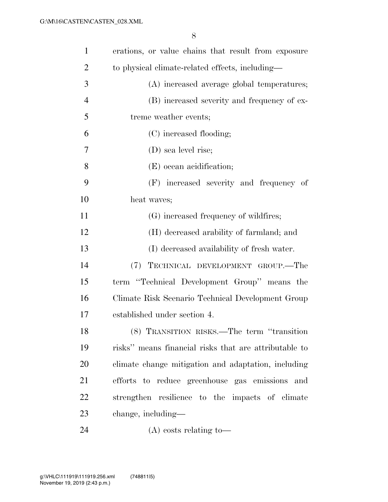| $\mathbf{1}$   | erations, or value chains that result from exposure   |
|----------------|-------------------------------------------------------|
| $\overline{2}$ | to physical climate-related effects, including-       |
| 3              | (A) increased average global temperatures;            |
| $\overline{4}$ | (B) increased severity and frequency of ex-           |
| 5              | treme weather events;                                 |
| 6              | (C) increased flooding;                               |
| 7              | (D) sea level rise;                                   |
| 8              | (E) ocean acidification;                              |
| 9              | (F) increased severity and frequency of               |
| 10             | heat waves;                                           |
| 11             | (G) increased frequency of wildfires;                 |
| 12             | (H) decreased arability of farmland; and              |
| 13             | (I) decreased availability of fresh water.            |
| 14             | (7) TECHNICAL DEVELOPMENT GROUP.—The                  |
| 15             | term "Technical Development Group" means the          |
| 16             | Climate Risk Scenario Technical Development Group     |
| 17             | established under section 4.                          |
| 18             | (8) TRANSITION RISKS.—The term "transition            |
| 19             | risks" means financial risks that are attributable to |
| 20             | climate change mitigation and adaptation, including   |
| 21             | efforts to reduce greenhouse gas emissions<br>and     |
| 22             | strengthen resilience to the impacts of climate       |
| 23             | change, including—                                    |
| 24             | $(A)$ costs relating to-                              |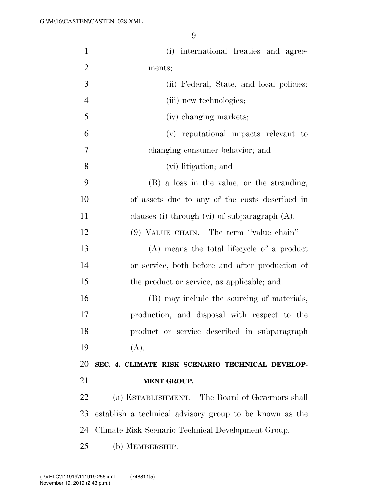| $\mathbf{1}$   | (i) international treaties and agree-                   |
|----------------|---------------------------------------------------------|
| $\overline{2}$ | ments;                                                  |
| 3              | (ii) Federal, State, and local policies;                |
| $\overline{4}$ | (iii) new technologies;                                 |
| 5              | (iv) changing markets;                                  |
| 6              | (v) reputational impacts relevant to                    |
| $\tau$         | changing consumer behavior; and                         |
| 8              | (vi) litigation; and                                    |
| 9              | (B) a loss in the value, or the stranding,              |
| 10             | of assets due to any of the costs described in          |
| 11             | clauses (i) through (vi) of subparagraph $(A)$ .        |
| 12             | (9) VALUE CHAIN.—The term "value chain"—                |
| 13             | (A) means the total lifecycle of a product              |
| 14             | or service, both before and after production of         |
| 15             | the product or service, as applicable; and              |
| 16             | (B) may include the sourcing of materials,              |
| 17             | production, and disposal with respect to the            |
| 18             | product or service described in subparagraph            |
| 19             | (A).                                                    |
| 20             | SEC. 4. CLIMATE RISK SCENARIO TECHNICAL DEVELOP-        |
| 21             | <b>MENT GROUP.</b>                                      |
| 22             | (a) ESTABLISHMENT.—The Board of Governors shall         |
| 23             | establish a technical advisory group to be known as the |
| 24             | Climate Risk Scenario Technical Development Group.      |
| 25             | (b) MEMBERSHIP.-                                        |
|                |                                                         |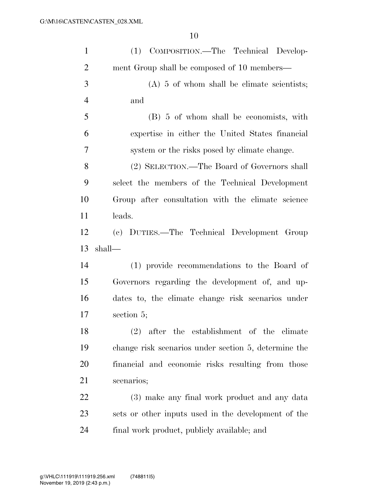| $\mathbf{1}$   | (1) COMPOSITION.—The Technical Develop-              |
|----------------|------------------------------------------------------|
| $\overline{2}$ | ment Group shall be composed of 10 members—          |
| 3              | $(A)$ 5 of whom shall be climate scientists;         |
| $\overline{4}$ | and                                                  |
| 5              | (B) 5 of whom shall be economists, with              |
| 6              | expertise in either the United States financial      |
| 7              | system or the risks posed by climate change.         |
| 8              | (2) SELECTION.—The Board of Governors shall          |
| 9              | select the members of the Technical Development      |
| 10             | Group after consultation with the climate science    |
| 11             | leads.                                               |
| 12             | (c) DUTIES.—The Technical Development Group          |
|                |                                                      |
| 13             | shall—                                               |
| 14             | (1) provide recommendations to the Board of          |
| 15             | Governors regarding the development of, and up-      |
| 16             | dates to, the climate change risk scenarios under    |
| 17             | section 5;                                           |
| 18             | (2) after the establishment of the climate           |
| 19             | change risk scenarios under section 5, determine the |
| 20             | financial and economic risks resulting from those    |
| 21             | scenarios;                                           |
| 22             | (3) make any final work product and any data         |
| 23             | sets or other inputs used in the development of the  |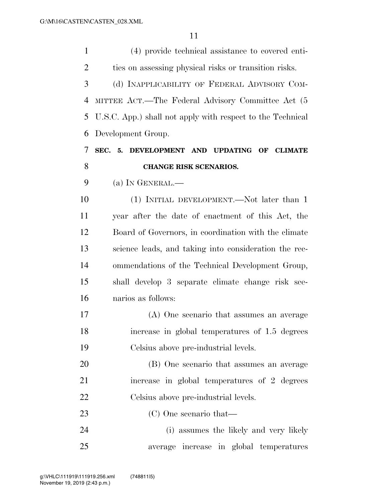| $\mathbf{1}$   | (4) provide technical assistance to covered enti-          |
|----------------|------------------------------------------------------------|
| $\overline{2}$ | ties on assessing physical risks or transition risks.      |
| 3              | (d) INAPPLICABILITY OF FEDERAL ADVISORY COM-               |
| $\overline{4}$ | MITTEE ACT.—The Federal Advisory Committee Act (5          |
| 5              | U.S.C. App.) shall not apply with respect to the Technical |
| 6              | Development Group.                                         |
| 7              | SEC. 5. DEVELOPMENT AND UPDATING OF CLIMATE                |
| 8              | <b>CHANGE RISK SCENARIOS.</b>                              |
| 9              | (a) IN GENERAL.—                                           |
| 10             | (1) INITIAL DEVELOPMENT.—Not later than 1                  |
| 11             | year after the date of enactment of this Act, the          |
| 12             | Board of Governors, in coordination with the climate       |
| 13             | science leads, and taking into consideration the rec-      |
| 14             | ommendations of the Technical Development Group,           |
| 15             | shall develop 3 separate climate change risk sce-          |
| 16             | narios as follows:                                         |
| 17             | (A) One scenario that assumes an average                   |
| 18             | increase in global temperatures of 1.5 degrees             |
| 19             | Celsius above pre-industrial levels.                       |
| 20             | (B) One scenario that assumes an average                   |
| 21             | increase in global temperatures of 2 degrees               |
| 22             | Celsius above pre-industrial levels.                       |
| 23             | (C) One scenario that—                                     |
| 24             | (i) assumes the likely and very likely                     |
| 25             | average increase in global temperatures                    |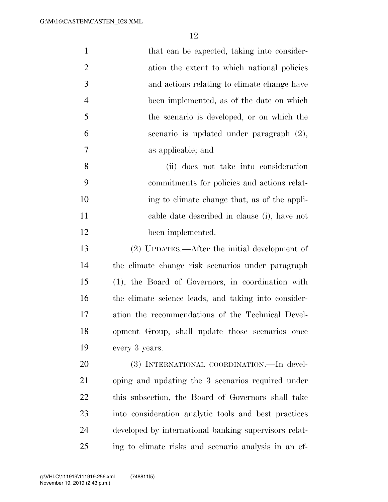| $\mathbf{1}$   | that can be expected, taking into consider-           |
|----------------|-------------------------------------------------------|
| $\overline{2}$ | ation the extent to which national policies           |
| 3              | and actions relating to climate change have           |
| $\overline{4}$ | been implemented, as of the date on which             |
| 5              | the scenario is developed, or on which the            |
| 6              | scenario is updated under paragraph (2),              |
| $\tau$         | as applicable; and                                    |
| 8              | (ii) does not take into consideration                 |
| 9              | commitments for policies and actions relat-           |
| 10             | ing to climate change that, as of the appli-          |
| 11             | cable date described in clause (i), have not          |
| 12             | been implemented.                                     |
| 13             | (2) UPDATES.—After the initial development of         |
| 14             | the climate change risk scenarios under paragraph     |
| 15             | (1), the Board of Governors, in coordination with     |
| 16             | the climate science leads, and taking into consider-  |
| 17             | ation the recommendations of the Technical Devel-     |
| 18             | opment Group, shall update those scenarios once       |
| 19             | every 3 years.                                        |
| 20             | (3) INTERNATIONAL COORDINATION.—In devel-             |
| 21             | oping and updating the 3 scenarios required under     |
| 22             | this subsection, the Board of Governors shall take    |
| 23             | into consideration analytic tools and best practices  |
| 24             | developed by international banking supervisors relat- |
| 25             | ing to climate risks and scenario analysis in an ef-  |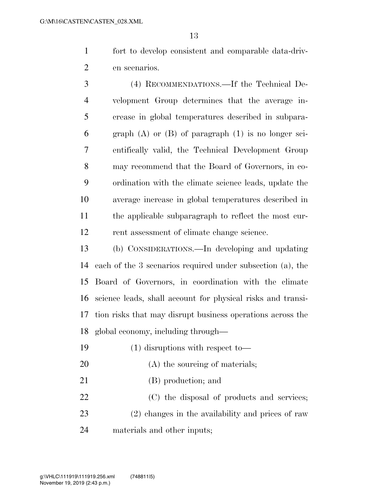fort to develop consistent and comparable data-driv-en scenarios.

 (4) RECOMMENDATIONS.—If the Technical De- velopment Group determines that the average in- crease in global temperatures described in subpara- graph (A) or (B) of paragraph (1) is no longer sci- entifically valid, the Technical Development Group may recommend that the Board of Governors, in co- ordination with the climate science leads, update the average increase in global temperatures described in the applicable subparagraph to reflect the most cur-rent assessment of climate change science.

 (b) CONSIDERATIONS.—In developing and updating each of the 3 scenarios required under subsection (a), the Board of Governors, in coordination with the climate science leads, shall account for physical risks and transi- tion risks that may disrupt business operations across the global economy, including through—

- (1) disruptions with respect to—
- 20 (A) the sourcing of materials;
- (B) production; and

 (C) the disposal of products and services; (2) changes in the availability and prices of raw materials and other inputs;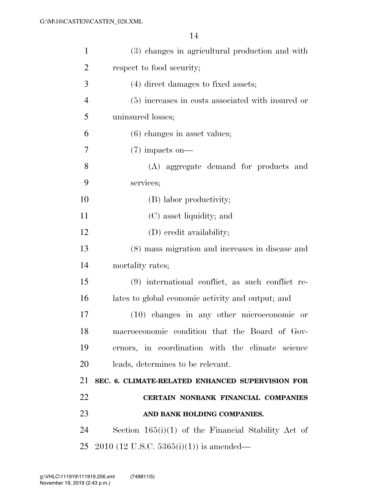| $\mathbf{1}$   | (3) changes in agricultural production and with       |
|----------------|-------------------------------------------------------|
| $\overline{2}$ | respect to food security;                             |
| 3              | (4) direct damages to fixed assets;                   |
| $\overline{4}$ | (5) increases in costs associated with insured or     |
| 5              | uninsured losses;                                     |
| 6              | $(6)$ changes in asset values;                        |
| 7              | $(7)$ impacts on—                                     |
| 8              | (A) aggregate demand for products and                 |
| 9              | services;                                             |
| 10             | (B) labor productivity;                               |
| 11             | (C) asset liquidity; and                              |
| 12             | (D) credit availability;                              |
| 13             | (8) mass migration and increases in disease and       |
| 14             | mortality rates;                                      |
| 15             | $(9)$ international conflict, as such conflict re-    |
| 16             | lates to global economic activity and output; and     |
| 17             | (10) changes in any other microeconomic or            |
| 18             | macroeconomic condition that the Board of Gov-        |
| 19             | ernors, in coordination with the climate science      |
| 20             | leads, determines to be relevant.                     |
| 21             | SEC. 6. CLIMATE-RELATED ENHANCED SUPERVISION FOR      |
| 22             | CERTAIN NONBANK FINANCIAL COMPANIES                   |
| 23             | AND BANK HOLDING COMPANIES.                           |
| 24             | Section $165(i)(1)$ of the Financial Stability Act of |
| 25             | $2010$ (12 U.S.C. 5365(i)(1)) is amended—             |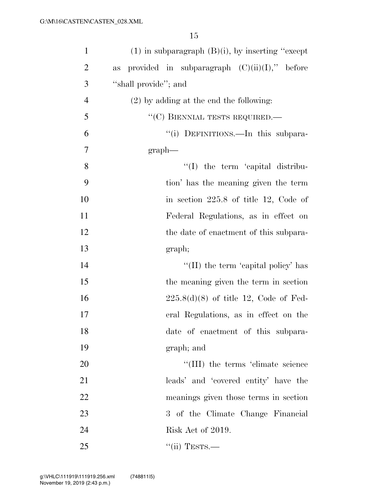| $\mathbf{1}$   | $(1)$ in subparagraph $(B)(i)$ , by inserting "except |
|----------------|-------------------------------------------------------|
| $\overline{2}$ | provided in subparagraph $(C)(ii)(I)$ ," before<br>as |
| 3              | "shall provide"; and                                  |
| $\overline{4}$ | $(2)$ by adding at the end the following:             |
| 5              | "(C) BIENNIAL TESTS REQUIRED.—                        |
| 6              | "(i) DEFINITIONS.—In this subpara-                    |
| $\tau$         | graph                                                 |
| 8              | $\lq\lq$ the term 'capital distribu-                  |
| 9              | tion' has the meaning given the term                  |
| 10             | in section $225.8$ of title 12, Code of               |
| 11             | Federal Regulations, as in effect on                  |
| 12             | the date of enactment of this subpara-                |
| 13             | graph;                                                |
| 14             | "(II) the term 'capital policy' has                   |
| 15             | the meaning given the term in section                 |
| 16             | $225.8(d)(8)$ of title 12, Code of Fed-               |
| 17             | eral Regulations, as in effect on the                 |
| 18             | date of enactment of this subpara-                    |
| 19             | graph; and                                            |
| 20             | "(III) the terms 'climate science                     |
| 21             | leads' and 'covered entity' have the                  |
| 22             | meanings given those terms in section                 |
| 23             | 3 of the Climate Change Financial                     |
| 24             | Risk Act of 2019.                                     |
| 25             | $``$ (ii) TESTS.—                                     |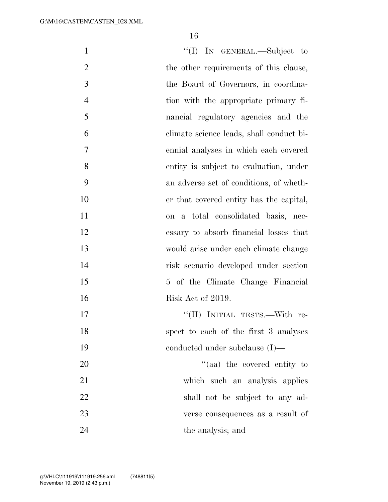| $\mathbf{1}$   | "(I) IN GENERAL.—Subject to              |
|----------------|------------------------------------------|
| $\overline{2}$ | the other requirements of this clause,   |
| 3              | the Board of Governors, in coordina-     |
| $\overline{4}$ | tion with the appropriate primary fi-    |
| 5              | nancial regulatory agencies and the      |
| 6              | climate science leads, shall conduct bi- |
| 7              | ennial analyses in which each covered    |
| 8              | entity is subject to evaluation, under   |
| 9              | an adverse set of conditions, of wheth-  |
| 10             | er that covered entity has the capital,  |
| <sup>11</sup>  | on a total consolidated basis, nec-      |
| 12             | essary to absorb financial losses that   |
| 13             | would arise under each climate change    |
| 14             | risk scenario developed under section    |
| 15             | 5 of the Climate Change Financial        |
| 16             | Risk Act of 2019.                        |
| 17             | "(II) INITIAL TESTS.—With re-            |
| 18             | spect to each of the first 3 analyses    |
| 19             | conducted under subclause $(I)$ —        |
| 20             | "(aa) the covered entity to              |
| 21             | which such an analysis applies           |
| 22             | shall not be subject to any ad-          |
| 23             | verse consequences as a result of        |
| 24             | the analysis; and                        |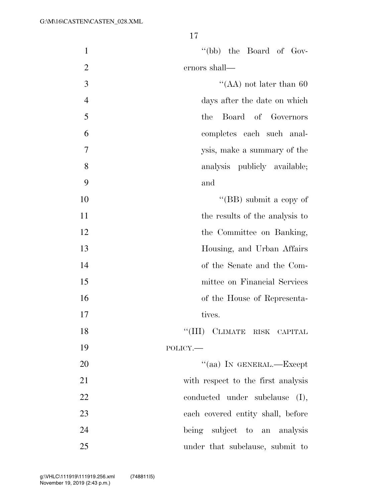| $\mathbf{1}$   | "(bb) the Board of Gov-            |
|----------------|------------------------------------|
| $\overline{2}$ | ernors shall—                      |
| 3              | "(AA) not later than $60$          |
| $\overline{4}$ | days after the date on which       |
| 5              | Board of Governors<br>the          |
| 6              | completes each such anal-          |
| 7              | ysis, make a summary of the        |
| 8              | analysis publicly available;       |
| 9              | and                                |
| 10             | "(BB) submit a copy of             |
| 11             | the results of the analysis to     |
| 12             | the Committee on Banking,          |
| 13             | Housing, and Urban Affairs         |
| 14             | of the Senate and the Com-         |
| 15             | mittee on Financial Services       |
| 16             | of the House of Representa-        |
| 17             | tives.                             |
| 18             | "(III) CLIMATE RISK CAPITAL        |
| 19             | POLICY.-                           |
| 20             | "(aa) IN GENERAL.-Except           |
| 21             | with respect to the first analysis |
| 22             | conducted under subclause (I),     |
| 23             | each covered entity shall, before  |
| 24             | being subject to an analysis       |
| 25             | under that subclause, submit to    |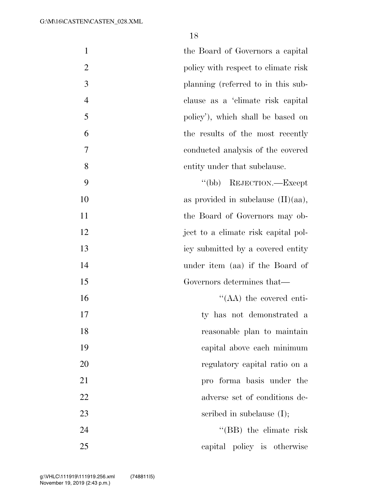| $\mathbf{1}$   | the Board of Governors a capital      |
|----------------|---------------------------------------|
| $\overline{2}$ | policy with respect to climate risk   |
| $\mathfrak{Z}$ | planning (referred to in this sub-    |
| $\overline{4}$ | clause as a 'climate risk capital     |
| 5              | policy'), which shall be based on     |
| 6              | the results of the most recently      |
| 7              | conducted analysis of the covered     |
| 8              | entity under that subclause.          |
| 9              | "(bb) REJECTION.—Except               |
| 10             | as provided in subclause $(II)(aa)$ , |
| 11             | the Board of Governors may ob-        |
| 12             | ject to a climate risk capital pol-   |
| 13             | icy submitted by a covered entity     |
| 14             | under item (aa) if the Board of       |
| 15             | Governors determines that—            |
| 16             | $\cdot$ (AA) the covered enti-        |
| 17             | ty has not demonstrated a             |
| 18             | reasonable plan to maintain           |
| 19             | capital above each minimum            |
| 20             | regulatory capital ratio on a         |
| 21             | pro forma basis under the             |
| 22             | adverse set of conditions de-         |
| 23             | scribed in subclause $(I);$           |
| 24             | "(BB) the climate risk                |
| 25             | capital policy is otherwise           |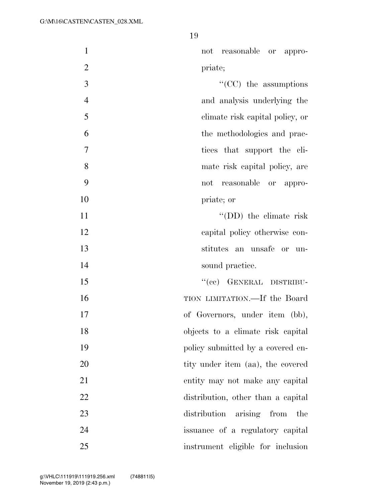| $\mathbf{1}$   | not reasonable or appro-           |
|----------------|------------------------------------|
| $\overline{2}$ | priate;                            |
| 3              | $\lq\lq$ (CC) the assumptions      |
| $\overline{4}$ | and analysis underlying the        |
| 5              | climate risk capital policy, or    |
| 6              | the methodologies and prac-        |
| 7              | tices that support the cli-        |
| 8              | mate risk capital policy, are      |
| 9              | reasonable or appro-<br>not        |
| 10             | priate; or                         |
| 11             | $\lq\lq$ (DD) the climate risk     |
| 12             | capital policy otherwise con-      |
| 13             | stitutes an unsafe or un-          |
| 14             | sound practice.                    |
| 15             | "(cc) GENERAL DISTRIBU-            |
| 16             | TION LIMITATION.—If the Board      |
| 17             | of Governors, under item (bb),     |
| 18             | objects to a climate risk capital  |
| 19             | policy submitted by a covered en-  |
| 20             | tity under item (aa), the covered  |
| 21             | entity may not make any capital    |
| 22             | distribution, other than a capital |
| 23             | distribution arising from<br>the   |
| 24             | issuance of a regulatory capital   |
| 25             | instrument eligible for inclusion  |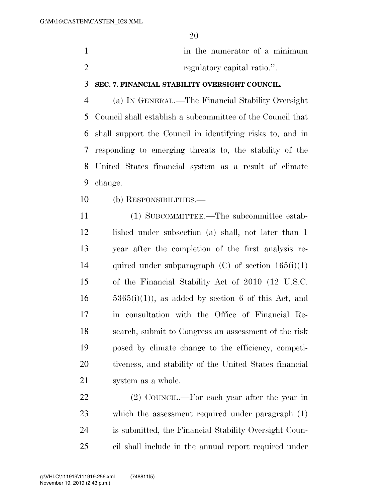| in the numerator of a minimum |
|-------------------------------|
| regulatory capital ratio.".   |

### **SEC. 7. FINANCIAL STABILITY OVERSIGHT COUNCIL.**

 (a) IN GENERAL.—The Financial Stability Oversight Council shall establish a subcommittee of the Council that shall support the Council in identifying risks to, and in responding to emerging threats to, the stability of the United States financial system as a result of climate change.

(b) RESPONSIBILITIES.—

 (1) SUBCOMMITTEE.—The subcommittee estab- lished under subsection (a) shall, not later than 1 year after the completion of the first analysis re-14 quired under subparagraph  $(C)$  of section  $165(i)(1)$  of the Financial Stability Act of 2010 (12 U.S.C.  $5365(i)(1)$ , as added by section 6 of this Act, and in consultation with the Office of Financial Re- search, submit to Congress an assessment of the risk posed by climate change to the efficiency, competi- tiveness, and stability of the United States financial system as a whole.

 (2) COUNCIL.—For each year after the year in which the assessment required under paragraph (1) is submitted, the Financial Stability Oversight Coun-cil shall include in the annual report required under